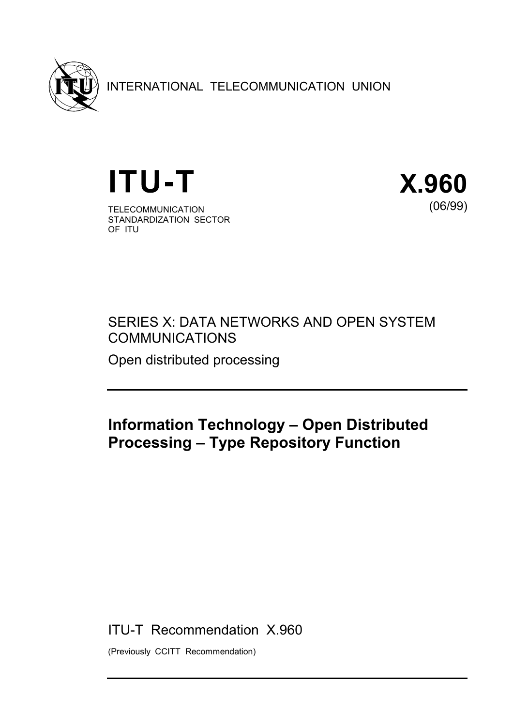

INTERNATIONAL TELECOMMUNICATION UNION





# SERIES X: DATA NETWORKS AND OPEN SYSTEM COMMUNICATIONS

Open distributed processing

# **Information Technology - Open Distributed Processing - Type Repository Function**

ITU-T Recommendation X.960

(Previously CCITT Recommendation)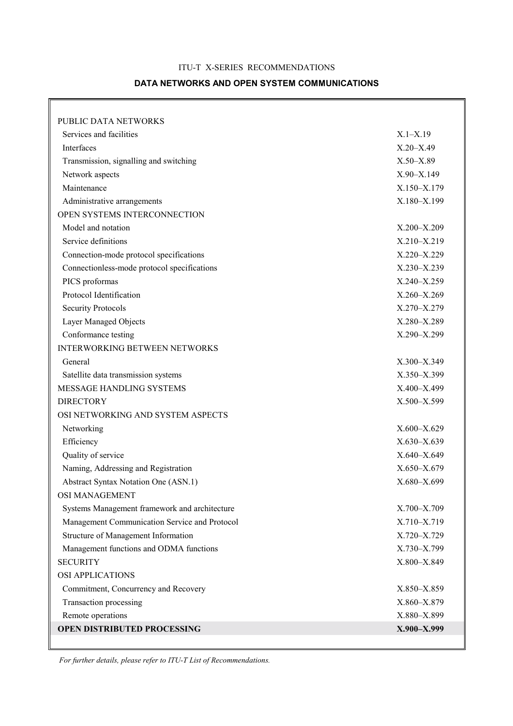# ITU-T X-SERIES RECOMMENDATIONS

# **DATA NETWORKS AND OPEN SYSTEM COMMUNICATIONS**

| PUBLIC DATA NETWORKS                          |                 |
|-----------------------------------------------|-----------------|
| Services and facilities                       | $X.1 - X.19$    |
| Interfaces                                    | $X.20 - X.49$   |
| Transmission, signalling and switching        | $X.50 - X.89$   |
| Network aspects                               | $X.90 - X.149$  |
| Maintenance                                   | X.150-X.179     |
| Administrative arrangements                   | X.180-X.199     |
| OPEN SYSTEMS INTERCONNECTION                  |                 |
| Model and notation                            | X.200-X.209     |
| Service definitions                           | X.210-X.219     |
| Connection-mode protocol specifications       | X.220-X.229     |
| Connectionless-mode protocol specifications   | X.230-X.239     |
| PICS proformas                                | X.240-X.259     |
| Protocol Identification                       | X.260-X.269     |
| <b>Security Protocols</b>                     | X.270-X.279     |
| Layer Managed Objects                         | X.280-X.289     |
| Conformance testing                           | X.290-X.299     |
| INTERWORKING BETWEEN NETWORKS                 |                 |
| General                                       | $X.300 - X.349$ |
| Satellite data transmission systems           | X.350-X.399     |
| MESSAGE HANDLING SYSTEMS                      | X.400-X.499     |
| <b>DIRECTORY</b>                              | X.500-X.599     |
| OSI NETWORKING AND SYSTEM ASPECTS             |                 |
| Networking                                    | X.600-X.629     |
| Efficiency                                    | X.630-X.639     |
| Quality of service                            | X.640-X.649     |
| Naming, Addressing and Registration           | X.650-X.679     |
| Abstract Syntax Notation One (ASN.1)          | X.680-X.699     |
| OSI MANAGEMENT                                |                 |
| Systems Management framework and architecture | X.700-X.709     |
| Management Communication Service and Protocol | X.710-X.719     |
| Structure of Management Information           | X.720-X.729     |
| Management functions and ODMA functions       | X.730-X.799     |
| <b>SECURITY</b>                               | X.800-X.849     |
| <b>OSI APPLICATIONS</b>                       |                 |
| Commitment, Concurrency and Recovery          | $X.850 - X.859$ |
| Transaction processing                        | X.860-X.879     |
| Remote operations                             | X.880-X.899     |
| <b>OPEN DISTRIBUTED PROCESSING</b>            | X.900-X.999     |
|                                               |                 |

*For further details, please refer to ITU-T List of Recommendations.*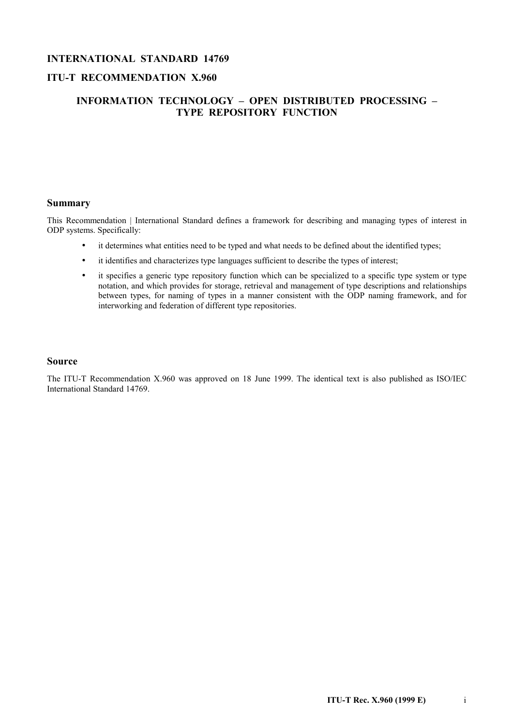# **INTERNATIONAL STANDARD 14769**

# **ITU-T RECOMMENDATION X.960**

# **INFORMATION TECHNOLOGY - OPEN DISTRIBUTED PROCESSING -TYPE REPOSITORY FUNCTION**

#### **Summary**

This Recommendation | International Standard defines a framework for describing and managing types of interest in ODP systems. Specifically:

- it determines what entities need to be typed and what needs to be defined about the identified types;
- it identifies and characterizes type languages sufficient to describe the types of interest;
- it specifies a generic type repository function which can be specialized to a specific type system or type notation, and which provides for storage, retrieval and management of type descriptions and relationships between types, for naming of types in a manner consistent with the ODP naming framework, and for interworking and federation of different type repositories.

#### **Source**

The ITU-T Recommendation X.960 was approved on 18 June 1999. The identical text is also published as ISO/IEC International Standard 14769.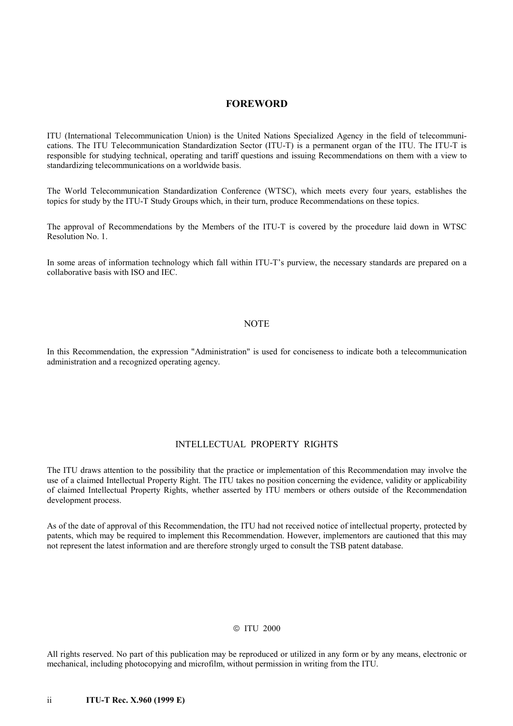# **FOREWORD**

ITU (International Telecommunication Union) is the United Nations Specialized Agency in the field of telecommunications. The ITU Telecommunication Standardization Sector (ITU-T) is a permanent organ of the ITU. The ITU-T is responsible for studying technical, operating and tariff questions and issuing Recommendations on them with a view to standardizing telecommunications on a worldwide basis.

The World Telecommunication Standardization Conference (WTSC), which meets every four years, establishes the topics for study by the ITU-T Study Groups which, in their turn, produce Recommendations on these topics.

The approval of Recommendations by the Members of the ITU-T is covered by the procedure laid down in WTSC Resolution No. 1.

In some areas of information technology which fall within ITU-T's purview, the necessary standards are prepared on a collaborative basis with ISO and IEC.

#### NOTE

In this Recommendation, the expression "Administration" is used for conciseness to indicate both a telecommunication administration and a recognized operating agency.

#### INTELLECTUAL PROPERTY RIGHTS

The ITU draws attention to the possibility that the practice or implementation of this Recommendation may involve the use of a claimed Intellectual Property Right. The ITU takes no position concerning the evidence, validity or applicability of claimed Intellectual Property Rights, whether asserted by ITU members or others outside of the Recommendation development process.

As of the date of approval of this Recommendation, the ITU had not received notice of intellectual property, protected by patents, which may be required to implement this Recommendation. However, implementors are cautioned that this may not represent the latest information and are therefore strongly urged to consult the TSB patent database.

#### © ITU 2000

All rights reserved. No part of this publication may be reproduced or utilized in any form or by any means, electronic or mechanical, including photocopying and microfilm, without permission in writing from the ITU.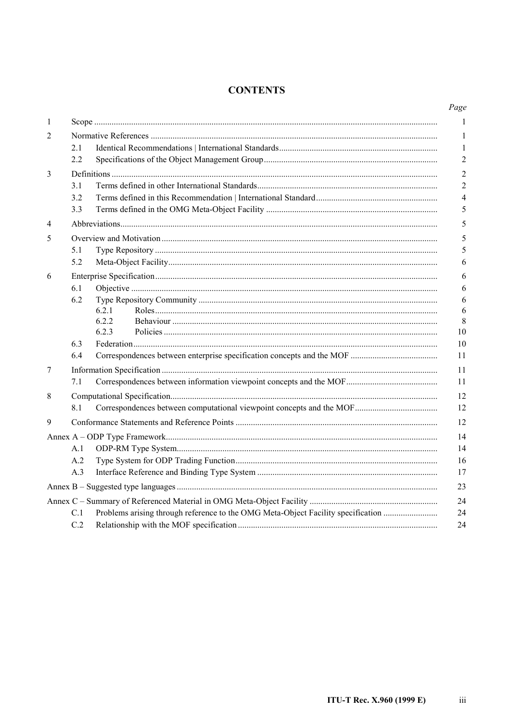# **CONTENTS**

|   |     |                                                                                  | Page           |
|---|-----|----------------------------------------------------------------------------------|----------------|
| 1 |     |                                                                                  | $\mathbf{1}$   |
| 2 |     |                                                                                  | 1              |
|   | 2.1 |                                                                                  | 1              |
|   | 2.2 |                                                                                  | $\overline{2}$ |
| 3 |     |                                                                                  | $\overline{2}$ |
|   | 3.1 |                                                                                  | 2              |
|   | 3.2 |                                                                                  | 4              |
|   | 3.3 |                                                                                  | 5              |
| 4 |     |                                                                                  | 5              |
| 5 |     |                                                                                  | 5              |
|   | 5.1 |                                                                                  | 5              |
|   | 5.2 |                                                                                  | 6              |
| 6 |     |                                                                                  | 6              |
|   | 6.1 |                                                                                  | 6              |
|   | 6.2 |                                                                                  | 6              |
|   |     | 6.2.1                                                                            | 6              |
|   |     | 6.2.2                                                                            | 8              |
|   |     | 6.2.3                                                                            | 10             |
|   | 6.3 |                                                                                  | 10             |
|   | 6.4 |                                                                                  | 11             |
| 7 |     |                                                                                  | 11             |
|   | 7.1 |                                                                                  | 11             |
| 8 |     |                                                                                  | 12             |
|   | 8.1 |                                                                                  | 12             |
| 9 |     |                                                                                  | 12             |
|   |     |                                                                                  | 14             |
|   | A.1 |                                                                                  | 14             |
|   | A.2 |                                                                                  | 16             |
|   | A.3 |                                                                                  | 17             |
|   |     |                                                                                  | 23             |
|   |     |                                                                                  | 24             |
|   | C.1 | Problems arising through reference to the OMG Meta-Object Facility specification | 24             |
|   | C.2 |                                                                                  | 24             |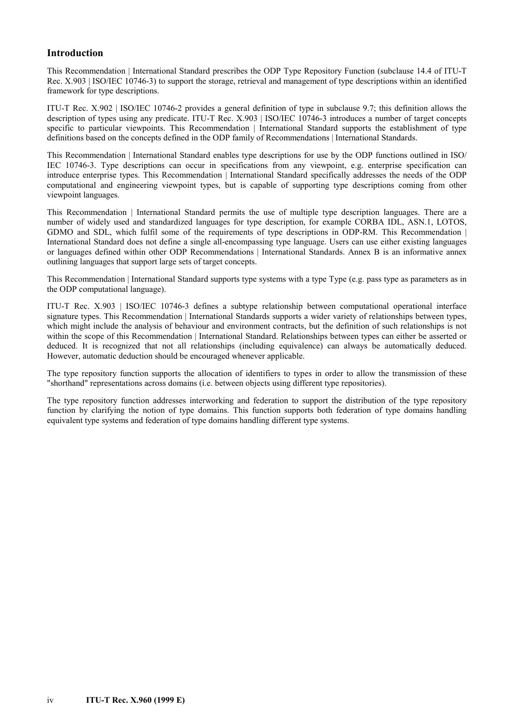# **Introduction**

This Recommendation | International Standard prescribes the ODP Type Repository Function (subclause 14.4 of ITU-T Rec. X.903 | ISO/IEC 10746-3) to support the storage, retrieval and management of type descriptions within an identified framework for type descriptions.

ITU-T Rec. X.902 | ISO/IEC 10746-2 provides a general definition of type in subclause 9.7; this definition allows the description of types using any predicate. ITU-T Rec. X.903 | ISO/IEC 10746-3 introduces a number of target concepts specific to particular viewpoints. This Recommendation | International Standard supports the establishment of type definitions based on the concepts defined in the ODP family of Recommendations | International Standards.

This Recommendation | International Standard enables type descriptions for use by the ODP functions outlined in ISO/ IEC 10746-3. Type descriptions can occur in specifications from any viewpoint, e.g. enterprise specification can introduce enterprise types. This Recommendation | International Standard specifically addresses the needs of the ODP computational and engineering viewpoint types, but is capable of supporting type descriptions coming from other viewpoint languages.

This Recommendation | International Standard permits the use of multiple type description languages. There are a number of widely used and standardized languages for type description, for example CORBA IDL, ASN.1, LOTOS, GDMO and SDL, which fulfil some of the requirements of type descriptions in ODP-RM. This Recommendation  $\vert$ International Standard does not define a single all-encompassing type language. Users can use either existing languages or languages defined within other ODP Recommendations | International Standards. Annex B is an informative annex outlining languages that support large sets of target concepts.

This Recommendation | International Standard supports type systems with a type Type (e.g. pass type as parameters as in the ODP computational language).

ITU-T Rec. X.903 | ISO/IEC 10746-3 defines a subtype relationship between computational operational interface signature types. This Recommendation | International Standards supports a wider variety of relationships between types, which might include the analysis of behaviour and environment contracts, but the definition of such relationships is not within the scope of this Recommendation | International Standard. Relationships between types can either be asserted or deduced. It is recognized that not all relationships (including equivalence) can always be automatically deduced. However, automatic deduction should be encouraged whenever applicable.

The type repository function supports the allocation of identifiers to types in order to allow the transmission of these "shorthand" representations across domains (i.e. between objects using different type repositories).

The type repository function addresses interworking and federation to support the distribution of the type repository function by clarifying the notion of type domains. This function supports both federation of type domains handling equivalent type systems and federation of type domains handling different type systems.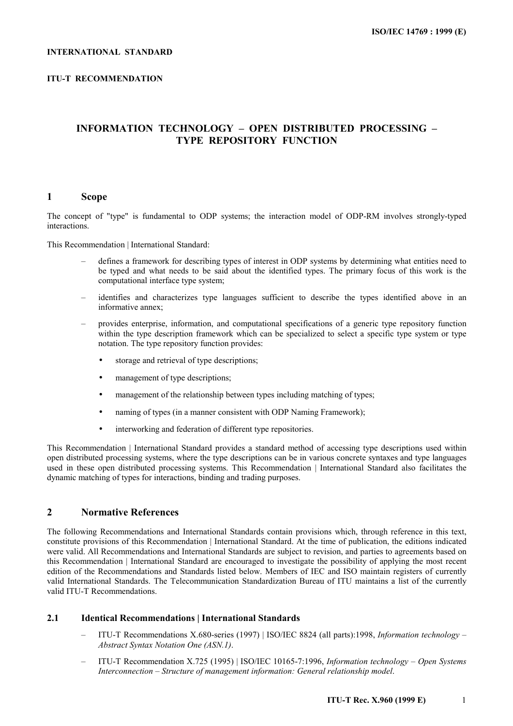#### **ITU-T RECOMMENDATION**

# **INFORMATION TECHNOLOGY – OPEN DISTRIBUTED PROCESSING – TYPE REPOSITORY FUNCTION**

#### **1 Scope**

The concept of "type" is fundamental to ODP systems; the interaction model of ODP-RM involves strongly-typed interactions.

This Recommendation | International Standard:

- defines a framework for describing types of interest in ODP systems by determining what entities need to be typed and what needs to be said about the identified types. The primary focus of this work is the computational interface type system;
- identifies and characterizes type languages sufficient to describe the types identified above in an informative annex;
- provides enterprise, information, and computational specifications of a generic type repository function within the type description framework which can be specialized to select a specific type system or type notation. The type repository function provides:
	- storage and retrieval of type descriptions;
	- management of type descriptions;
	- management of the relationship between types including matching of types;
	- naming of types (in a manner consistent with ODP Naming Framework);
	- interworking and federation of different type repositories.

This Recommendation | International Standard provides a standard method of accessing type descriptions used within open distributed processing systems, where the type descriptions can be in various concrete syntaxes and type languages used in these open distributed processing systems. This Recommendation | International Standard also facilitates the dynamic matching of types for interactions, binding and trading purposes.

#### **2 Normative References**

The following Recommendations and International Standards contain provisions which, through reference in this text, constitute provisions of this Recommendation | International Standard. At the time of publication, the editions indicated were valid. All Recommendations and International Standards are subject to revision, and parties to agreements based on this Recommendation | International Standard are encouraged to investigate the possibility of applying the most recent edition of the Recommendations and Standards listed below. Members of IEC and ISO maintain registers of currently valid International Standards. The Telecommunication Standardization Bureau of ITU maintains a list of the currently valid ITU-T Recommendations.

#### **2.1 Identical Recommendations | International Standards**

- ITU-T Recommendations X.680-series (1997) | ISO/IEC 8824 (all parts):1998, *Information technology Abstract Syntax Notation One (ASN.1)*.
- ITU-T Recommendation X.725 (1995) | ISO/IEC 10165-7:1996, *Information technology Open Systems Interconnection – Structure of management information: General relationship model.*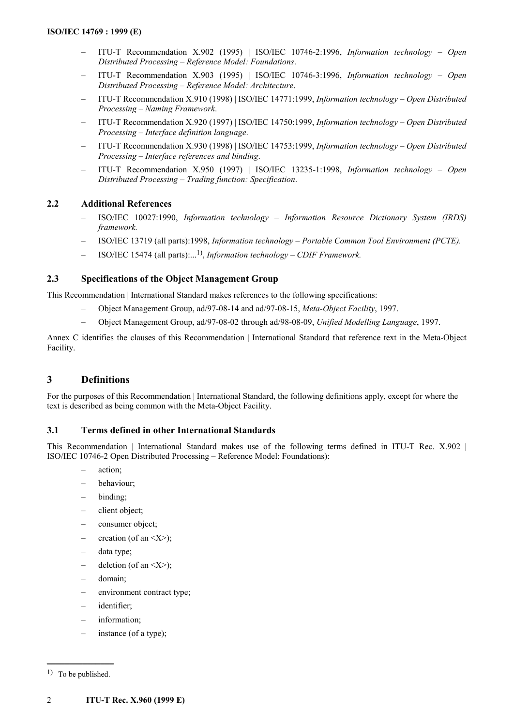- ITU-T Recommendation X.902 (1995) | ISO/IEC 10746-2:1996, *Information technology Open Distributed Processing – Reference Model: Foundations.*
- ITU-T Recommendation X.903 (1995) | ISO/IEC 10746-3:1996, *Information technology Open Distributed Processing – Reference Model: Architecture.*
- ITU-T Recommendation X.910 (1998) | ISO/IEC 14771:1999, *Information technology Open Distributed Processing – Naming Framework.*
- ITU-T Recommendation X.920 (1997) | ISO/IEC 14750:1999, *Information technology Open Distributed Processing – Interface definition language.*
- ITU-T Recommendation X.930 (1998) | ISO/IEC 14753:1999, *Information technology Open Distributed Processing – Interface references and binding.*
- ITU-T Recommendation X.950 (1997) | ISO/IEC 13235-1:1998, *Information technology Open Distributed Processing - Trading function: Specification.*

# **2.2 Additional References**

- ISO/IEC 10027:1990, *Information technology Information Resource Dictionary System (IRDS) framework.*
- ISO/IEC 13719 (all parts):1998, *Information technology Portable Common Tool Environment (PCTE).*
- $ISO/IEC 15474$  (all parts):...<sup>1)</sup>, *Information technology CDIF Framework.*

# **2.3 Specifications of the Object Management Group**

This Recommendation | International Standard makes references to the following specifications:

- ñ Object Management Group, ad/97-08-14 and ad/97-08-15, *Meta-Object Facility*, 1997.
- ñ Object Management Group, ad/97-08-02 through ad/98-08-09, *Unified Modelling Language*, 1997.

Annex C identifies the clauses of this Recommendation | International Standard that reference text in the Meta-Object Facility.

# **3 Definitions**

For the purposes of this Recommendation | International Standard, the following definitions apply, except for where the text is described as being common with the Meta-Object Facility.

# **3.1 Terms defined in other International Standards**

This Recommendation | International Standard makes use of the following terms defined in ITU-T Rec. X.902 | ISO/IEC 10746-2 Open Distributed Processing – Reference Model: Foundations):

- action;
- behaviour;
- binding;
- client object;
- consumer object:
- creation (of an  $\langle X \rangle$ );
- data type;
- deletion (of an  $\langle X \rangle$ );
- domain;
- environment contract type;
- identifier;
- information:
- instance (of a type);

 $\mathcal{L}_\text{max}$ 1) To be published.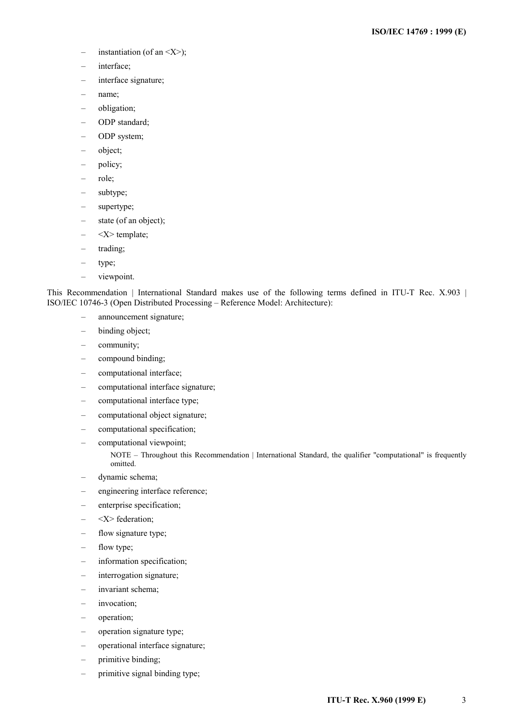- instantiation (of an  $\langle X \rangle$ );
- interface:
- interface signature;
- name;
- obligation;
- ODP standard;
- ODP system;
- $-$  object;
- policy;
- role;
- subtype;
- $-$  supertype;
- state (of an object);
- $<$ X $>$  template;
- $-$  trading;
- type;
- $-$  viewpoint.

This Recommendation | International Standard makes use of the following terms defined in ITU-T Rec. X.903 | ISO/IEC 10746-3 (Open Distributed Processing – Reference Model: Architecture):

- announcement signature;
- $\hbox{–}$  binding object;
- community;
- $\blacksquare$  compound binding;
- computational interface;
- computational interface signature;
- computational interface type;
- computational object signature;
- computational specification;
- computational viewpoint;

NOTE – Throughout this Recommendation | International Standard, the qualifier "computational" is frequently omitted.

- dynamic schema:
- engineering interface reference;
- enterprise specification;
- $-\langle X\rangle$  federation;
- $\blacksquare$  flow signature type;
- flow type;
- information specification;
- interrogation signature;
- invariant schema;
- invocation;
- operation;
- operation signature type;
- operational interface signature;
- $-$  primitive binding;
- $\blacksquare$  primitive signal binding type;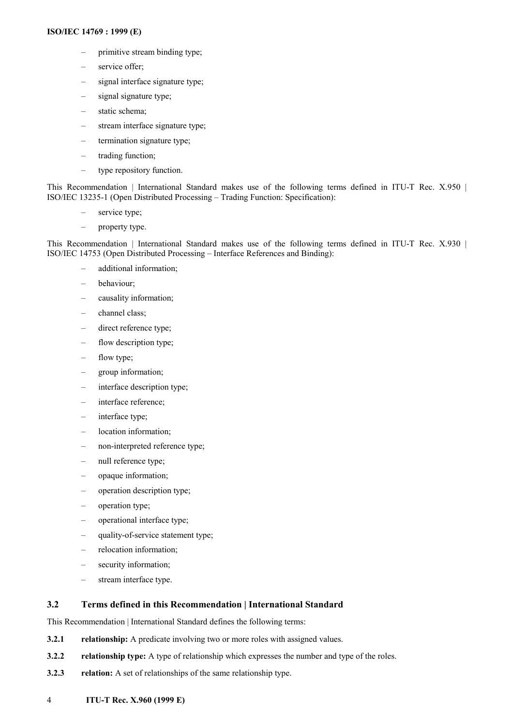- primitive stream binding type;
- service offer;
- signal interface signature type;
- signal signature type;
- static schema;
- stream interface signature type;
- termination signature type;
- trading function;
- type repository function.

This Recommendation | International Standard makes use of the following terms defined in ITU-T Rec. X.950 | ISO/IEC 13235-1 (Open Distributed Processing – Trading Function: Specification):

- service type;
- property type.

This Recommendation | International Standard makes use of the following terms defined in ITU-T Rec. X.930 | ISO/IEC 14753 (Open Distributed Processing – Interface References and Binding):

- additional information;
- behaviour;
- causality information;
- channel class:
- direct reference type;
- flow description type;
- flow type;
- group information;
- interface description type;
- interface reference;
- interface type;
- location information;
- non-interpreted reference type;
- null reference type;
- opaque information;
- operation description type;
- operation type;
- operational interface type;
- quality-of-service statement type;
- relocation information;
- security information;
- stream interface type.

#### **3.2 Terms defined in this Recommendation | International Standard**

This Recommendation | International Standard defines the following terms:

- **3.2.1** relationship: A predicate involving two or more roles with assigned values.
- **3.2.2** relationship type: A type of relationship which expresses the number and type of the roles.
- **3.2.3** relation: A set of relationships of the same relationship type.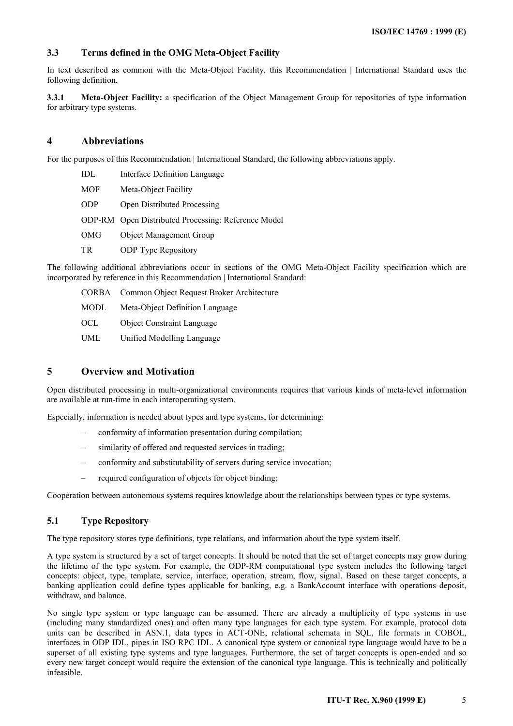# **3.3 Terms defined in the OMG Meta-Object Facility**

In text described as common with the Meta-Object Facility, this Recommendation | International Standard uses the following definition.

**3.3.1 Meta-Object Facility:** a specification of the Object Management Group for repositories of type information for arbitrary type systems.

#### **4 Abbreviations**

For the purposes of this Recommendation | International Standard, the following abbreviations apply.

| IDL.       | Interface Definition Language                       |
|------------|-----------------------------------------------------|
| MOF        | Meta-Object Facility                                |
| <b>ODP</b> | <b>Open Distributed Processing</b>                  |
|            | ODP-RM Open Distributed Processing: Reference Model |
| OMG        | <b>Object Management Group</b>                      |
| TR         | ODP Type Repository                                 |

The following additional abbreviations occur in sections of the OMG Meta-Object Facility specification which are incorporated by reference in this Recommendation | International Standard:

|        | CORBA Common Object Request Broker Architecture |
|--------|-------------------------------------------------|
| MODL – | Meta-Object Definition Language                 |
| OCL.   | <b>Object Constraint Language</b>               |
| UML.   | Unified Modelling Language                      |

# **5 Overview and Motivation**

Open distributed processing in multi-organizational environments requires that various kinds of meta-level information are available at run-time in each interoperating system.

Especially, information is needed about types and type systems, for determining:

- conformity of information presentation during compilation;
- similarity of offered and requested services in trading;
- conformity and substitutability of servers during service invocation;
- required configuration of objects for object binding;

Cooperation between autonomous systems requires knowledge about the relationships between types or type systems.

#### **5.1 Type Repository**

The type repository stores type definitions, type relations, and information about the type system itself.

A type system is structured by a set of target concepts. It should be noted that the set of target concepts may grow during the lifetime of the type system. For example, the ODP-RM computational type system includes the following target concepts: object, type, template, service, interface, operation, stream, flow, signal. Based on these target concepts, a banking application could define types applicable for banking, e.g. a BankAccount interface with operations deposit, withdraw, and balance.

No single type system or type language can be assumed. There are already a multiplicity of type systems in use (including many standardized ones) and often many type languages for each type system. For example, protocol data units can be described in ASN.1, data types in ACT-ONE, relational schemata in SQL, file formats in COBOL, interfaces in ODP IDL, pipes in ISO RPC IDL. A canonical type system or canonical type language would have to be a superset of all existing type systems and type languages. Furthermore, the set of target concepts is open-ended and so every new target concept would require the extension of the canonical type language. This is technically and politically infeasible.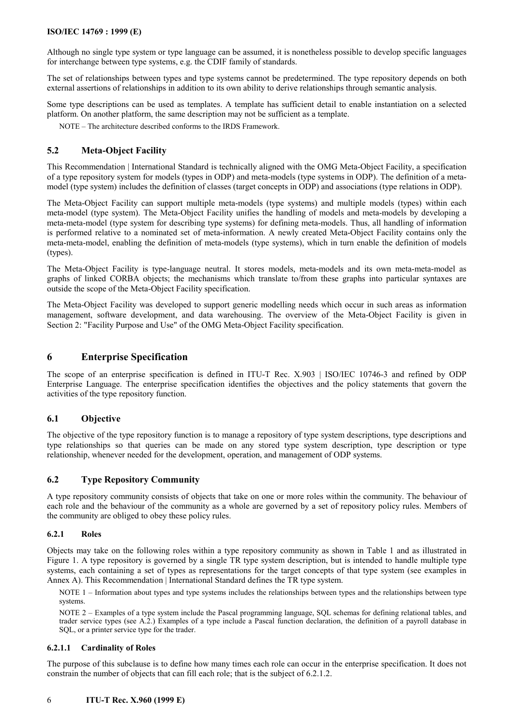#### **ISO/IEC 14769 : 1999 (E)**

Although no single type system or type language can be assumed, it is nonetheless possible to develop specific languages for interchange between type systems, e.g. the CDIF family of standards.

The set of relationships between types and type systems cannot be predetermined. The type repository depends on both external assertions of relationships in addition to its own ability to derive relationships through semantic analysis.

Some type descriptions can be used as templates. A template has sufficient detail to enable instantiation on a selected platform. On another platform, the same description may not be sufficient as a template.

NOTE – The architecture described conforms to the IRDS Framework.

#### **5.2 Meta-Object Facility**

This Recommendation | International Standard is technically aligned with the OMG Meta-Object Facility, a specification of a type repository system for models (types in ODP) and meta-models (type systems in ODP). The definition of a metamodel (type system) includes the definition of classes (target concepts in ODP) and associations (type relations in ODP).

The Meta-Object Facility can support multiple meta-models (type systems) and multiple models (types) within each meta-model (type system). The Meta-Object Facility unifies the handling of models and meta-models by developing a meta-meta-model (type system for describing type systems) for defining meta-models. Thus, all handling of information is performed relative to a nominated set of meta-information. A newly created Meta-Object Facility contains only the meta-meta-model, enabling the definition of meta-models (type systems), which in turn enable the definition of models (types).

The Meta-Object Facility is type-language neutral. It stores models, meta-models and its own meta-meta-model as graphs of linked CORBA objects; the mechanisms which translate to/from these graphs into particular syntaxes are outside the scope of the Meta-Object Facility specification.

The Meta-Object Facility was developed to support generic modelling needs which occur in such areas as information management, software development, and data warehousing. The overview of the Meta-Object Facility is given in Section 2: "Facility Purpose and Use" of the OMG Meta-Object Facility specification.

# **6 Enterprise Specification**

The scope of an enterprise specification is defined in ITU-T Rec. X.903 | ISO/IEC 10746-3 and refined by ODP Enterprise Language. The enterprise specification identifies the objectives and the policy statements that govern the activities of the type repository function.

#### **6.1 Objective**

The objective of the type repository function is to manage a repository of type system descriptions, type descriptions and type relationships so that queries can be made on any stored type system description, type description or type relationship, whenever needed for the development, operation, and management of ODP systems.

#### **6.2 Type Repository Community**

A type repository community consists of objects that take on one or more roles within the community. The behaviour of each role and the behaviour of the community as a whole are governed by a set of repository policy rules. Members of the community are obliged to obey these policy rules.

#### **6.2.1 Roles**

Objects may take on the following roles within a type repository community as shown in Table 1 and as illustrated in Figure 1. A type repository is governed by a single TR type system description, but is intended to handle multiple type systems, each containing a set of types as representations for the target concepts of that type system (see examples in Annex A). This Recommendation | International Standard defines the TR type system.

NOTE 1 – Information about types and type systems includes the relationships between types and the relationships between type systems.

NOTE  $2 -$  Examples of a type system include the Pascal programming language, SQL schemas for defining relational tables, and trader service types (see A.2.) Examples of a type include a Pascal function declaration, the definition of a payroll database in SQL, or a printer service type for the trader.

#### **6.2.1.1 Cardinality of Roles**

The purpose of this subclause is to define how many times each role can occur in the enterprise specification. It does not constrain the number of objects that can fill each role; that is the subject of 6.2.1.2.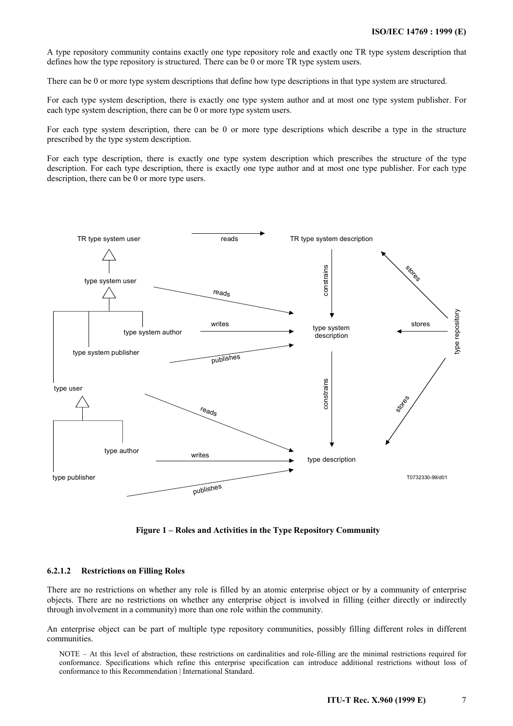A type repository community contains exactly one type repository role and exactly one TR type system description that defines how the type repository is structured. There can be 0 or more TR type system users.

There can be 0 or more type system descriptions that define how type descriptions in that type system are structured.

For each type system description, there is exactly one type system author and at most one type system publisher. For each type system description, there can be 0 or more type system users.

For each type system description, there can be 0 or more type descriptions which describe a type in the structure prescribed by the type system description.

For each type description, there is exactly one type system description which prescribes the structure of the type description. For each type description, there is exactly one type author and at most one type publisher. For each type description, there can be 0 or more type users.



Figure 1 – Roles and Activities in the Type Repository Community

#### **6.2.1.2 Restrictions on Filling Roles**

There are no restrictions on whether any role is filled by an atomic enterprise object or by a community of enterprise objects. There are no restrictions on whether any enterprise object is involved in filling (either directly or indirectly through involvement in a community) more than one role within the community.

An enterprise object can be part of multiple type repository communities, possibly filling different roles in different communities.

 $NOTE - At this level of abstraction, these restrictions on cardinalities and role-filling are the minimal restrictions required for$ conformance. Specifications which refine this enterprise specification can introduce additional restrictions without loss of conformance to this Recommendation | International Standard.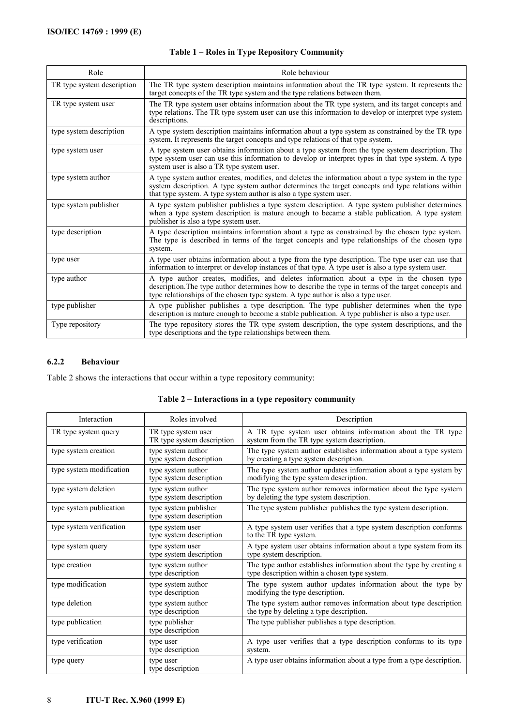| Role                       | Role behaviour                                                                                                                                                                                                                                                                       |
|----------------------------|--------------------------------------------------------------------------------------------------------------------------------------------------------------------------------------------------------------------------------------------------------------------------------------|
| TR type system description | The TR type system description maintains information about the TR type system. It represents the<br>target concepts of the TR type system and the type relations between them.                                                                                                       |
| TR type system user        | The TR type system user obtains information about the TR type system, and its target concepts and<br>type relations. The TR type system user can use this information to develop or interpret type system<br>descriptions.                                                           |
| type system description    | A type system description maintains information about a type system as constrained by the TR type<br>system. It represents the target concepts and type relations of that type system.                                                                                               |
| type system user           | A type system user obtains information about a type system from the type system description. The<br>type system user can use this information to develop or interpret types in that type system. A type<br>system user is also a TR type system user.                                |
| type system author         | A type system author creates, modifies, and deletes the information about a type system in the type<br>system description. A type system author determines the target concepts and type relations within<br>that type system. A type system author is also a type system user.       |
| type system publisher      | A type system publisher publishes a type system description. A type system publisher determines<br>when a type system description is mature enough to became a stable publication. A type system<br>publisher is also a type system user.                                            |
| type description           | A type description maintains information about a type as constrained by the chosen type system.<br>The type is described in terms of the target concepts and type relationships of the chosen type<br>system.                                                                        |
| type user                  | A type user obtains information about a type from the type description. The type user can use that<br>information to interpret or develop instances of that type. A type user is also a type system user.                                                                            |
| type author                | A type author creates, modifies, and deletes information about a type in the chosen type<br>description. The type author determines how to describe the type in terms of the target concepts and<br>type relationships of the chosen type system. A type author is also a type user. |
| type publisher             | A type publisher publishes a type description. The type publisher determines when the type<br>description is mature enough to become a stable publication. A type publisher is also a type user.                                                                                     |
| Type repository            | The type repository stores the TR type system description, the type system descriptions, and the<br>type descriptions and the type relationships between them.                                                                                                                       |

# Table 1 – Roles in Type Repository Community

# **6.2.2 Behaviour**

Table 2 shows the interactions that occur within a type repository community:

| Interaction              | Roles involved                                    | Description                                                                                                           |
|--------------------------|---------------------------------------------------|-----------------------------------------------------------------------------------------------------------------------|
| TR type system query     | TR type system user<br>TR type system description | A TR type system user obtains information about the TR type<br>system from the TR type system description.            |
| type system creation     | type system author<br>type system description     | The type system author establishes information about a type system<br>by creating a type system description.          |
| type system modification | type system author<br>type system description     | The type system author updates information about a type system by<br>modifying the type system description.           |
| type system deletion     | type system author<br>type system description     | The type system author removes information about the type system<br>by deleting the type system description.          |
| type system publication  | type system publisher<br>type system description  | The type system publisher publishes the type system description.                                                      |
| type system verification | type system user<br>type system description       | A type system user verifies that a type system description conforms<br>to the TR type system.                         |
| type system query        | type system user<br>type system description       | A type system user obtains information about a type system from its<br>type system description.                       |
| type creation            | type system author<br>type description            | The type author establishes information about the type by creating a<br>type description within a chosen type system. |
| type modification        | type system author<br>type description            | The type system author updates information about the type by<br>modifying the type description.                       |
| type deletion            | type system author<br>type description            | The type system author removes information about type description<br>the type by deleting a type description.         |
| type publication         | type publisher<br>type description                | The type publisher publishes a type description.                                                                      |
| type verification        | type user<br>type description                     | A type user verifies that a type description conforms to its type<br>system.                                          |
| type query               | type user<br>type description                     | A type user obtains information about a type from a type description.                                                 |

#### Table 2 – Interactions in a type repository community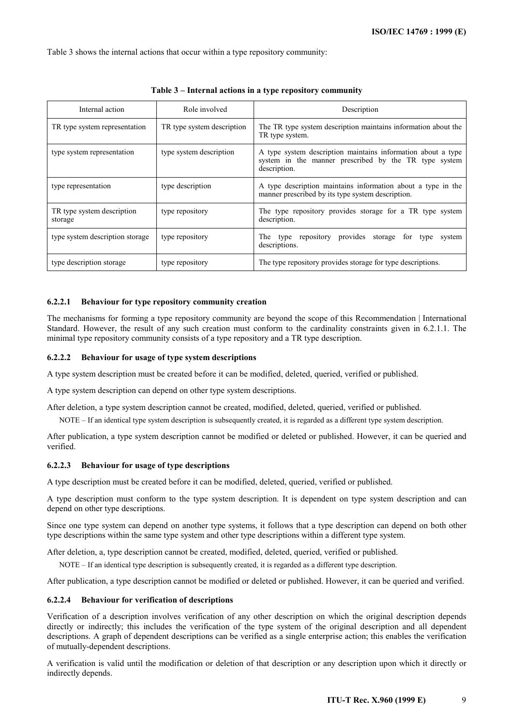Table 3 shows the internal actions that occur within a type repository community:

| Internal action                       | Role involved              | Description                                                                                                                           |
|---------------------------------------|----------------------------|---------------------------------------------------------------------------------------------------------------------------------------|
| TR type system representation         | TR type system description | The TR type system description maintains information about the<br>TR type system.                                                     |
| type system representation            | type system description    | A type system description maintains information about a type<br>system in the manner prescribed by the TR type system<br>description. |
| type representation                   | type description           | A type description maintains information about a type in the<br>manner prescribed by its type system description.                     |
| TR type system description<br>storage | type repository            | The type repository provides storage for a TR type system<br>description.                                                             |
| type system description storage       | type repository            | The type repository provides<br>storage<br>for<br>type<br>system<br>descriptions.                                                     |
| type description storage              | type repository            | The type repository provides storage for type descriptions.                                                                           |

Table 3 – Internal actions in a type repository community

#### **6.2.2.1 Behaviour for type repository community creation**

The mechanisms for forming a type repository community are beyond the scope of this Recommendation | International Standard. However, the result of any such creation must conform to the cardinality constraints given in 6.2.1.1. The minimal type repository community consists of a type repository and a TR type description.

#### **6.2.2.2 Behaviour for usage of type system descriptions**

A type system description must be created before it can be modified, deleted, queried, verified or published.

A type system description can depend on other type system descriptions.

After deletion, a type system description cannot be created, modified, deleted, queried, verified or published.

NOTE – If an identical type system description is subsequently created, it is regarded as a different type system description.

After publication, a type system description cannot be modified or deleted or published. However, it can be queried and verified.

#### **6.2.2.3 Behaviour for usage of type descriptions**

A type description must be created before it can be modified, deleted, queried, verified or published.

A type description must conform to the type system description. It is dependent on type system description and can depend on other type descriptions.

Since one type system can depend on another type systems, it follows that a type description can depend on both other type descriptions within the same type system and other type descriptions within a different type system.

After deletion, a, type description cannot be created, modified, deleted, queried, verified or published.

NOTE – If an identical type description is subsequently created, it is regarded as a different type description.

After publication, a type description cannot be modified or deleted or published. However, it can be queried and verified.

#### **6.2.2.4 Behaviour for verification of descriptions**

Verification of a description involves verification of any other description on which the original description depends directly or indirectly; this includes the verification of the type system of the original description and all dependent descriptions. A graph of dependent descriptions can be verified as a single enterprise action; this enables the verification of mutually-dependent descriptions.

A verification is valid until the modification or deletion of that description or any description upon which it directly or indirectly depends.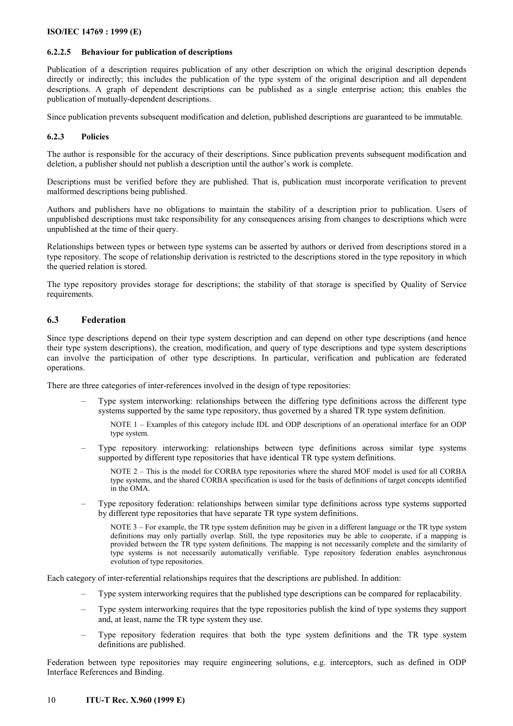#### **6.2.2.5 Behaviour for publication of descriptions**

Publication of a description requires publication of any other description on which the original description depends directly or indirectly; this includes the publication of the type system of the original description and all dependent descriptions. A graph of dependent descriptions can be published as a single enterprise action; this enables the publication of mutually-dependent descriptions.

Since publication prevents subsequent modification and deletion, published descriptions are guaranteed to be immutable.

#### **6.2.3 Policies**

The author is responsible for the accuracy of their descriptions. Since publication prevents subsequent modification and deletion, a publisher should not publish a description until the author's work is complete.

Descriptions must be verified before they are published. That is, publication must incorporate verification to prevent malformed descriptions being published.

Authors and publishers have no obligations to maintain the stability of a description prior to publication. Users of unpublished descriptions must take responsibility for any consequences arising from changes to descriptions which were unpublished at the time of their query.

Relationships between types or between type systems can be asserted by authors or derived from descriptions stored in a type repository. The scope of relationship derivation is restricted to the descriptions stored in the type repository in which the queried relation is stored.

The type repository provides storage for descriptions; the stability of that storage is specified by Quality of Service requirements.

#### **6.3 Federation**

Since type descriptions depend on their type system description and can depend on other type descriptions (and hence their type system descriptions), the creation, modification, and query of type descriptions and type system descriptions can involve the participation of other type descriptions. In particular, verification and publication are federated operations.

There are three categories of inter-references involved in the design of type repositories:

- ñ Type system interworking: relationships between the differing type definitions across the different type systems supported by the same type repository, thus governed by a shared TR type system definition.
	- NOTE 1 Examples of this category include IDL and ODP descriptions of an operational interface for an ODP type system.
- ñ Type repository interworking: relationships between type definitions across similar type systems supported by different type repositories that have identical TR type system definitions.
	- NOTE 2 This is the model for CORBA type repositories where the shared MOF model is used for all CORBA type systems, and the shared CORBA specification is used for the basis of definitions of target concepts identified in the OMA.
- ñ Type repository federation: relationships between similar type definitions across type systems supported by different type repositories that have separate TR type system definitions.

NOTE  $3$  – For example, the TR type system definition may be given in a different language or the TR type system definitions may only partially overlap. Still, the type repositories may be able to cooperate, if a mapping is provided between the TR type system definitions. The mapping is not necessarily complete and the similarity of type systems is not necessarily automatically verifiable. Type repository federation enables asynchronous evolution of type repositories.

Each category of inter-referential relationships requires that the descriptions are published. In addition:

- Type system interworking requires that the published type descriptions can be compared for replacability.
- Type system interworking requires that the type repositories publish the kind of type systems they support and, at least, name the TR type system they use.
- Type repository federation requires that both the type system definitions and the TR type system definitions are published.

Federation between type repositories may require engineering solutions, e.g. interceptors, such as defined in ODP Interface References and Binding.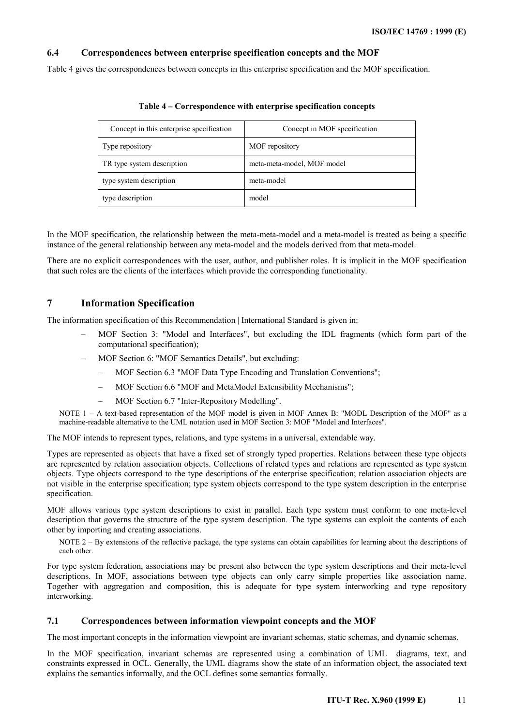#### **6.4 Correspondences between enterprise specification concepts and the MOF**

Table 4 gives the correspondences between concepts in this enterprise specification and the MOF specification.

| Concept in this enterprise specification | Concept in MOF specification |
|------------------------------------------|------------------------------|
| Type repository                          | MOF repository               |
| TR type system description               | meta-meta-model, MOF model   |
| type system description                  | meta-model                   |
| type description                         | model                        |

Table 4 – Correspondence with enterprise specification concepts

In the MOF specification, the relationship between the meta-meta-model and a meta-model is treated as being a specific instance of the general relationship between any meta-model and the models derived from that meta-model.

There are no explicit correspondences with the user, author, and publisher roles. It is implicit in the MOF specification that such roles are the clients of the interfaces which provide the corresponding functionality.

#### **7 Information Specification**

The information specification of this Recommendation | International Standard is given in:

- ñ MOF Section 3: "Model and Interfaces", but excluding the IDL fragments (which form part of the computational specification);
- MOF Section 6: "MOF Semantics Details", but excluding:
	- MOF Section 6.3 "MOF Data Type Encoding and Translation Conventions";
	- MOF Section 6.6 "MOF and MetaModel Extensibility Mechanisms";
	- MOF Section 6.7 "Inter-Repository Modelling".

NOTE 1 – A text-based representation of the MOF model is given in MOF Annex B: "MODL Description of the MOF" as a machine-readable alternative to the UML notation used in MOF Section 3: MOF "Model and Interfaces".

The MOF intends to represent types, relations, and type systems in a universal, extendable way.

Types are represented as objects that have a fixed set of strongly typed properties. Relations between these type objects are represented by relation association objects. Collections of related types and relations are represented as type system objects. Type objects correspond to the type descriptions of the enterprise specification; relation association objects are not visible in the enterprise specification; type system objects correspond to the type system description in the enterprise specification.

MOF allows various type system descriptions to exist in parallel. Each type system must conform to one meta-level description that governs the structure of the type system description. The type systems can exploit the contents of each other by importing and creating associations.

NOTE  $2 - By$  extensions of the reflective package, the type systems can obtain capabilities for learning about the descriptions of each other.

For type system federation, associations may be present also between the type system descriptions and their meta-level descriptions. In MOF, associations between type objects can only carry simple properties like association name. Together with aggregation and composition, this is adequate for type system interworking and type repository interworking.

#### **7.1 Correspondences between information viewpoint concepts and the MOF**

The most important concepts in the information viewpoint are invariant schemas, static schemas, and dynamic schemas.

In the MOF specification, invariant schemas are represented using a combination of UML diagrams, text, and constraints expressed in OCL. Generally, the UML diagrams show the state of an information object, the associated text explains the semantics informally, and the OCL defines some semantics formally.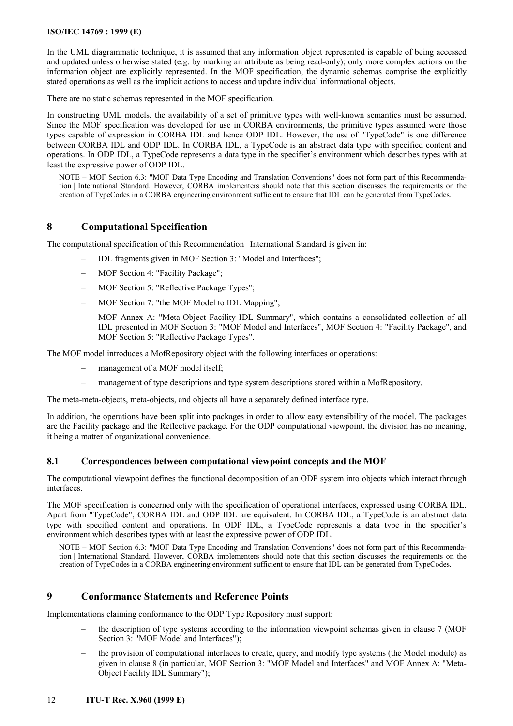#### **ISO/IEC 14769 : 1999 (E)**

In the UML diagrammatic technique, it is assumed that any information object represented is capable of being accessed and updated unless otherwise stated (e.g. by marking an attribute as being read-only); only more complex actions on the information object are explicitly represented. In the MOF specification, the dynamic schemas comprise the explicitly stated operations as well as the implicit actions to access and update individual informational objects.

There are no static schemas represented in the MOF specification.

In constructing UML models, the availability of a set of primitive types with well-known semantics must be assumed. Since the MOF specification was developed for use in CORBA environments, the primitive types assumed were those types capable of expression in CORBA IDL and hence ODP IDL. However, the use of "TypeCode" is one difference between CORBA IDL and ODP IDL. In CORBA IDL, a TypeCode is an abstract data type with specified content and operations. In ODP IDL, a TypeCode represents a data type in the specifier's environment which describes types with at least the expressive power of ODP IDL.

NOTE – MOF Section 6.3: "MOF Data Type Encoding and Translation Conventions" does not form part of this Recommendation | International Standard. However, CORBA implementers should note that this section discusses the requirements on the creation of TypeCodes in a CORBA engineering environment sufficient to ensure that IDL can be generated from TypeCodes.

# **8 Computational Specification**

The computational specification of this Recommendation | International Standard is given in:

- IDL fragments given in MOF Section 3: "Model and Interfaces";
- MOF Section 4: "Facility Package":
- MOF Section 5: "Reflective Package Types";
- MOF Section 7: "the MOF Model to IDL Mapping":
- ñ MOF Annex A: "Meta-Object Facility IDL Summary", which contains a consolidated collection of all IDL presented in MOF Section 3: "MOF Model and Interfaces", MOF Section 4: "Facility Package", and MOF Section 5: "Reflective Package Types".

The MOF model introduces a MofRepository object with the following interfaces or operations:

- management of a MOF model itself;
- management of type descriptions and type system descriptions stored within a MofRepository.

The meta-meta-objects, meta-objects, and objects all have a separately defined interface type.

In addition, the operations have been split into packages in order to allow easy extensibility of the model. The packages are the Facility package and the Reflective package. For the ODP computational viewpoint, the division has no meaning, it being a matter of organizational convenience.

#### **8.1 Correspondences between computational viewpoint concepts and the MOF**

The computational viewpoint defines the functional decomposition of an ODP system into objects which interact through interfaces.

The MOF specification is concerned only with the specification of operational interfaces, expressed using CORBA IDL. Apart from "TypeCode", CORBA IDL and ODP IDL are equivalent. In CORBA IDL, a TypeCode is an abstract data type with specified content and operations. In ODP IDL, a TypeCode represents a data type in the specifierís environment which describes types with at least the expressive power of ODP IDL.

NOTE – MOF Section 6.3: "MOF Data Type Encoding and Translation Conventions" does not form part of this Recommendation | International Standard. However, CORBA implementers should note that this section discusses the requirements on the creation of TypeCodes in a CORBA engineering environment sufficient to ensure that IDL can be generated from TypeCodes.

# **9 Conformance Statements and Reference Points**

Implementations claiming conformance to the ODP Type Repository must support:

- the description of type systems according to the information viewpoint schemas given in clause 7 (MOF) Section 3: "MOF Model and Interfaces");
- the provision of computational interfaces to create, query, and modify type systems (the Model module) as given in clause 8 (in particular, MOF Section 3: "MOF Model and Interfaces" and MOF Annex A: "Meta-Object Facility IDL Summary");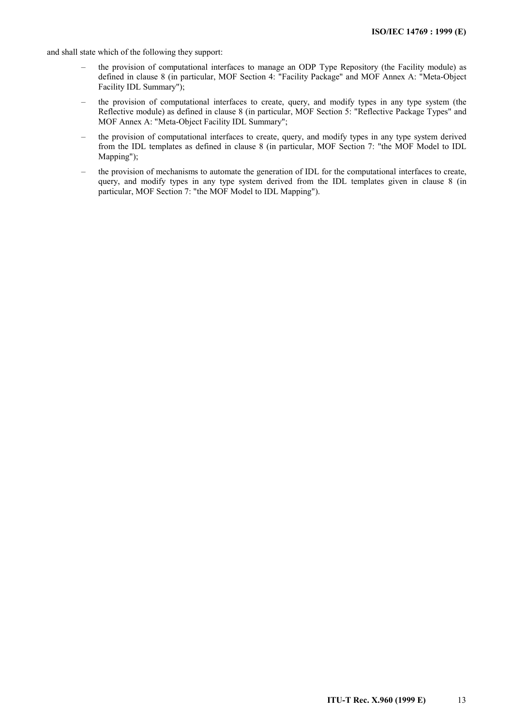and shall state which of the following they support:

- the provision of computational interfaces to manage an ODP Type Repository (the Facility module) as defined in clause 8 (in particular, MOF Section 4: "Facility Package" and MOF Annex A: "Meta-Object Facility IDL Summary");
- the provision of computational interfaces to create, query, and modify types in any type system (the Reflective module) as defined in clause 8 (in particular, MOF Section 5: "Reflective Package Types" and MOF Annex A: "Meta-Object Facility IDL Summary";
- the provision of computational interfaces to create, query, and modify types in any type system derived from the IDL templates as defined in clause 8 (in particular, MOF Section 7: "the MOF Model to IDL Mapping");
- the provision of mechanisms to automate the generation of IDL for the computational interfaces to create, query, and modify types in any type system derived from the IDL templates given in clause 8 (in particular, MOF Section 7: "the MOF Model to IDL Mapping").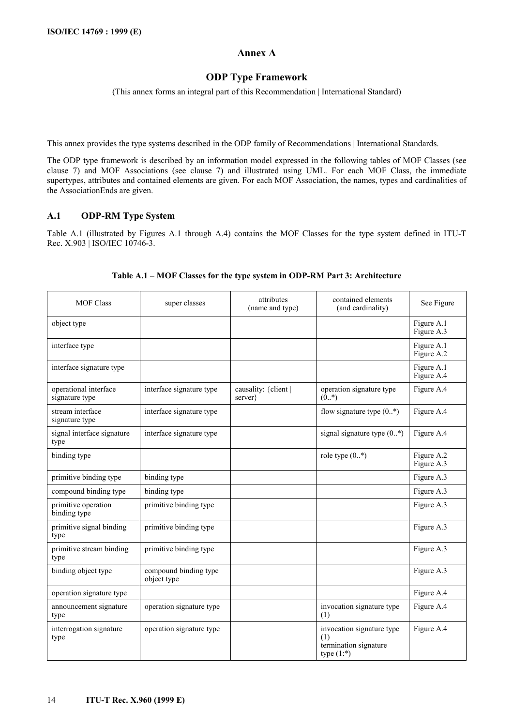# **Annex A**

# **ODP Type Framework**

(This annex forms an integral part of this Recommendation | International Standard)

This annex provides the type systems described in the ODP family of Recommendations | International Standards.

The ODP type framework is described by an information model expressed in the following tables of MOF Classes (see clause 7) and MOF Associations (see clause 7) and illustrated using UML. For each MOF Class, the immediate supertypes, attributes and contained elements are given. For each MOF Association, the names, types and cardinalities of the AssociationEnds are given.

# **A.1 ODP-RM Type System**

Table A.1 (illustrated by Figures A.1 through A.4) contains the MOF Classes for the type system defined in ITU-T Rec. X.903 | ISO/IEC 10746-3.

| <b>MOF Class</b>                        | super classes                        | attributes<br>(name and type)  | contained elements<br>(and cardinality)                                   | See Figure               |
|-----------------------------------------|--------------------------------------|--------------------------------|---------------------------------------------------------------------------|--------------------------|
| object type                             |                                      |                                |                                                                           | Figure A.1<br>Figure A.3 |
| interface type                          |                                      |                                |                                                                           | Figure A.1<br>Figure A.2 |
| interface signature type                |                                      |                                |                                                                           | Figure A.1<br>Figure A.4 |
| operational interface<br>signature type | interface signature type             | causality: {client  <br>server | operation signature type<br>$(0.*)$                                       | Figure A.4               |
| stream interface<br>signature type      | interface signature type             |                                | flow signature type $(0,*)$                                               | Figure A.4               |
| signal interface signature<br>type      | interface signature type             |                                | signal signature type $(0,*)$                                             | Figure A.4               |
| binding type                            |                                      |                                | role type $(0,*)$                                                         | Figure A.2<br>Figure A.3 |
| primitive binding type                  | binding type                         |                                |                                                                           | Figure A.3               |
| compound binding type                   | binding type                         |                                |                                                                           | Figure A.3               |
| primitive operation<br>binding type     | primitive binding type               |                                |                                                                           | Figure A.3               |
| primitive signal binding<br>type        | primitive binding type               |                                |                                                                           | Figure A.3               |
| primitive stream binding<br>type        | primitive binding type               |                                |                                                                           | Figure A.3               |
| binding object type                     | compound binding type<br>object type |                                |                                                                           | Figure A.3               |
| operation signature type                |                                      |                                |                                                                           | Figure A.4               |
| announcement signature<br>type          | operation signature type             |                                | invocation signature type<br>(1)                                          | Figure A.4               |
| interrogation signature<br>type         | operation signature type             |                                | invocation signature type<br>(1)<br>termination signature<br>type $(1:*)$ | Figure A.4               |

#### Table A.1 – MOF Classes for the type system in ODP-RM Part 3: Architecture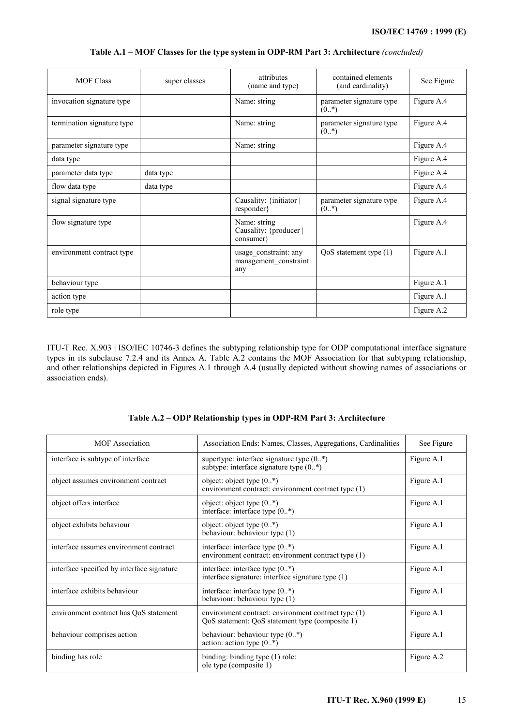| <b>MOF Class</b>           | super classes | attributes<br>(name and type)                              | contained elements<br>(and cardinality) | See Figure |
|----------------------------|---------------|------------------------------------------------------------|-----------------------------------------|------------|
| invocation signature type  |               | Name: string                                               | parameter signature type<br>$(0,*)$     | Figure A.4 |
| termination signature type |               | Name: string                                               | parameter signature type<br>$(0.*)$     | Figure A.4 |
| parameter signature type   |               | Name: string                                               |                                         | Figure A.4 |
| data type                  |               |                                                            |                                         | Figure A.4 |
| parameter data type        | data type     |                                                            |                                         | Figure A.4 |
| flow data type             | data type     |                                                            |                                         | Figure A.4 |
| signal signature type      |               | Causality: {initiator  <br>responder                       | parameter signature type<br>$(0.*)$     | Figure A.4 |
| flow signature type        |               | Name: string<br>Causality: {producer  <br>$\text{cosumer}$ |                                         | Figure A.4 |
| environment contract type  |               | usage_constraint: any<br>management constraint:<br>any     | $QoS$ statement type $(1)$              | Figure A.1 |
| behaviour type             |               |                                                            |                                         | Figure A.1 |
| action type                |               |                                                            |                                         | Figure A.1 |
| role type                  |               |                                                            |                                         | Figure A.2 |

#### Table A.1 - MOF Classes for the type system in ODP-RM Part 3: Architecture *(concluded)*

ITU-T Rec. X.903 | ISO/IEC 10746-3 defines the subtyping relationship type for ODP computational interface signature types in its subclause 7.2.4 and its Annex A. Table A.2 contains the MOF Association for that subtyping relationship, and other relationships depicted in Figures A.1 through A.4 (usually depicted without showing names of associations or association ends).

#### Table A.2 – ODP Relationship types in ODP-RM Part 3: Architecture

| <b>MOF</b> Association                     | Association Ends: Names, Classes, Aggregations, Cardinalities                                          | See Figure |
|--------------------------------------------|--------------------------------------------------------------------------------------------------------|------------|
| interface is subtype of interface          | supertype: interface signature type $(0,*)$<br>subtype: interface signature type $(0,*)$               | Figure A.1 |
| object assumes environment contract        | object: object type $(0,*)$<br>environment contract: environment contract type (1)                     | Figure A.1 |
| object offers interface                    | object: object type $(0,*)$<br>interface: interface type $(0,*)$                                       | Figure A.1 |
| object exhibits behaviour                  | object: object type $(0,*)$<br>behaviour: behaviour type (1)                                           | Figure A.1 |
| interface assumes environment contract     | interface: interface type $(0,*)$<br>environment contract: environment contract type (1)               | Figure A.1 |
| interface specified by interface signature | interface: interface type $(0,*)$<br>interface signature: interface signature type (1)                 | Figure A.1 |
| interface exhibits behaviour               | interface: interface type $(0,*)$<br>behaviour: behaviour type (1)                                     | Figure A.1 |
| environment contract has QoS statement     | environment contract: environment contract type (1)<br>QoS statement: QoS statement type (composite 1) | Figure A.1 |
| behaviour comprises action                 | behaviour: behaviour type $(0,*)$<br>action: action type $(0,*)$                                       | Figure A.1 |
| binding has role                           | binding: binding type (1) role:<br>ole type (composite 1)                                              | Figure A.2 |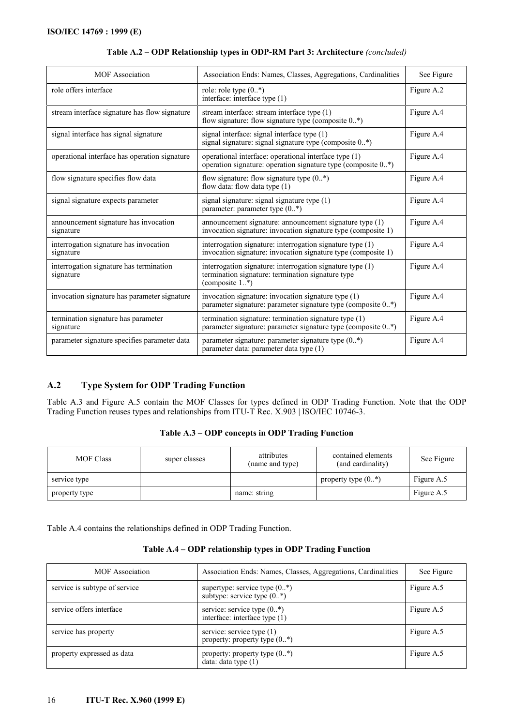| <b>MOF Association</b>                               | Association Ends: Names, Classes, Aggregations, Cardinalities                                                                        | See Figure |
|------------------------------------------------------|--------------------------------------------------------------------------------------------------------------------------------------|------------|
| role offers interface                                | role: role type $(0,*)$<br>interface: interface type (1)                                                                             | Figure A.2 |
| stream interface signature has flow signature        | stream interface: stream interface type (1)<br>flow signature: flow signature type (composite $0.*$ )                                | Figure A.4 |
| signal interface has signal signature                | signal interface: signal interface type (1)<br>signal signature: signal signature type (composite 0*)                                | Figure A.4 |
| operational interface has operation signature        | operational interface: operational interface type (1)<br>operation signature: operation signature type (composite 0*)                | Figure A.4 |
| flow signature specifies flow data                   | flow signature: flow signature type $(0,*)$<br>flow data: flow data type $(1)$                                                       | Figure A.4 |
| signal signature expects parameter                   | signal signature: signal signature type $(1)$<br>parameter: parameter type $(0,*)$                                                   | Figure A.4 |
| announcement signature has invocation<br>signature   | announcement signature: announcement signature type $(1)$<br>invocation signature: invocation signature type (composite 1)           | Figure A.4 |
| interrogation signature has invocation<br>signature  | interrogation signature: interrogation signature type (1)<br>invocation signature: invocation signature type (composite 1)           | Figure A.4 |
| interrogation signature has termination<br>signature | interrogation signature: interrogation signature type (1)<br>termination signature: termination signature type<br>(composite $1.*$ ) | Figure A.4 |
| invocation signature has parameter signature         | invocation signature: invocation signature type (1)<br>parameter signature: parameter signature type (composite 0*)                  | Figure A.4 |
| termination signature has parameter<br>signature     | termination signature: termination signature type $(1)$<br>parameter signature: parameter signature type (composite 0*)              | Figure A.4 |
| parameter signature specifies parameter data         | parameter signature: parameter signature type (0*)<br>parameter data: parameter data type (1)                                        | Figure A.4 |

#### Table A.2 - ODP Relationship types in ODP-RM Part 3: Architecture *(concluded)*

# **A.2 Type System for ODP Trading Function**

Table A.3 and Figure A.5 contain the MOF Classes for types defined in ODP Trading Function. Note that the ODP Trading Function reuses types and relationships from ITU-T Rec. X.903 | ISO/IEC 10746-3.

#### Table A.3 - ODP concepts in ODP Trading Function

| <b>MOF Class</b> | super classes | attributes<br>(name and type) | contained elements<br>(and cardinality) | See Figure |
|------------------|---------------|-------------------------------|-----------------------------------------|------------|
| service type     |               |                               | property type $(0.*)$                   | Figure A.5 |
| property type    |               | name: string                  |                                         | Figure A.5 |

Table A.4 contains the relationships defined in ODP Trading Function.

| <b>MOF</b> Association        | Association Ends: Names, Classes, Aggregations, Cardinalities    | See Figure |
|-------------------------------|------------------------------------------------------------------|------------|
| service is subtype of service | supertype: service type $(0,*)$<br>subtype: service type $(0,*)$ | Figure A.5 |
| service offers interface      | service: service type $(0,*)$<br>interface: interface type (1)   | Figure A.5 |
| service has property          | service: service type (1)<br>property: property type $(0,*)$     | Figure A.5 |
| property expressed as data    | property: property type $(0,*)$<br>data: data type $(1)$         | Figure A.5 |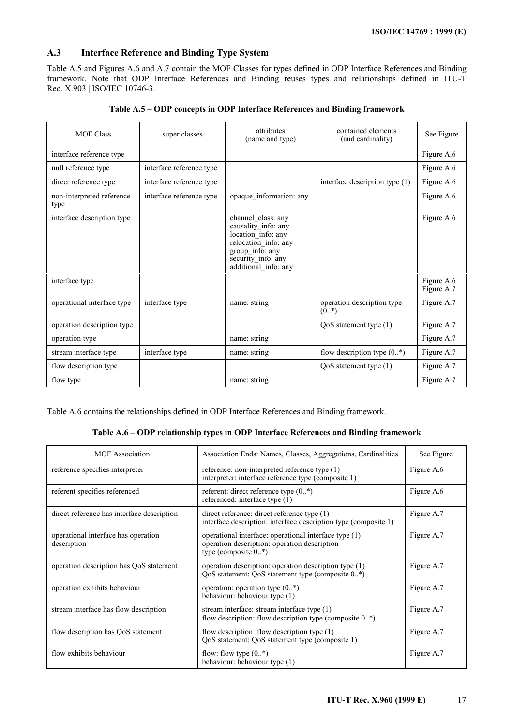# **A.3 Interface Reference and Binding Type System**

Table A.5 and Figures A.6 and A.7 contain the MOF Classes for types defined in ODP Interface References and Binding framework. Note that ODP Interface References and Binding reuses types and relationships defined in ITU-T Rec. X.903 | ISO/IEC 10746-3.

| <b>MOF Class</b>                  | super classes            | attributes<br>(name and type)                                                                                                                            | contained elements<br>(and cardinality) | See Figure               |
|-----------------------------------|--------------------------|----------------------------------------------------------------------------------------------------------------------------------------------------------|-----------------------------------------|--------------------------|
| interface reference type          |                          |                                                                                                                                                          |                                         | Figure A.6               |
| null reference type               | interface reference type |                                                                                                                                                          |                                         | Figure A.6               |
| direct reference type             | interface reference type |                                                                                                                                                          | interface description type (1)          | Figure A.6               |
| non-interpreted reference<br>type | interface reference type | opaque information: any                                                                                                                                  |                                         | Figure A.6               |
| interface description type        |                          | channel class: any<br>causality info: any<br>location info: any<br>relocation info: any<br>group info: any<br>security info: any<br>additional info: any |                                         | Figure A.6               |
| interface type                    |                          |                                                                                                                                                          |                                         | Figure A.6<br>Figure A.7 |
| operational interface type        | interface type           | name: string                                                                                                                                             | operation description type<br>$(0.*)$   | Figure A.7               |
| operation description type        |                          |                                                                                                                                                          | $QoS$ statement type $(1)$              | Figure A.7               |
| operation type                    |                          | name: string                                                                                                                                             |                                         | Figure A.7               |
| stream interface type             | interface type           | name: string                                                                                                                                             | flow description type $(0,*)$           | Figure A.7               |
| flow description type             |                          |                                                                                                                                                          | $QoS$ statement type $(1)$              | Figure A.7               |
| flow type                         |                          | name: string                                                                                                                                             |                                         | Figure A.7               |

|  |  |  | Table A.5 - ODP concepts in ODP Interface References and Binding framework |  |
|--|--|--|----------------------------------------------------------------------------|--|
|--|--|--|----------------------------------------------------------------------------|--|

Table A.6 contains the relationships defined in ODP Interface References and Binding framework.

#### Table A.6 – ODP relationship types in ODP Interface References and Binding framework

| <b>MOF</b> Association                             | Association Ends: Names, Classes, Aggregations, Cardinalities                                                                    | See Figure |
|----------------------------------------------------|----------------------------------------------------------------------------------------------------------------------------------|------------|
| reference specifies interpreter                    | reference: non-interpreted reference type (1)<br>interpreter: interface reference type (composite 1)                             | Figure A.6 |
| referent specifies referenced                      | referent: direct reference type $(0,*)$<br>referenced: interface type (1)                                                        | Figure A.6 |
| direct reference has interface description         | direct reference: direct reference type $(1)$<br>interface description: interface description type (composite 1)                 | Figure A.7 |
| operational interface has operation<br>description | operational interface: operational interface type (1)<br>operation description: operation description<br>type (composite $0.*$ ) | Figure A.7 |
| operation description has QoS statement            | operation description: operation description type (1)<br>QoS statement: QoS statement type (composite 0*)                        | Figure A.7 |
| operation exhibits behaviour                       | operation: operation type $(0,*)$<br>behaviour: behaviour type (1)                                                               | Figure A.7 |
| stream interface has flow description              | stream interface: stream interface type (1)<br>flow description: flow description type (composite $0.*$ )                        | Figure A.7 |
| flow description has QoS statement                 | flow description: flow description type $(1)$<br>QoS statement: QoS statement type (composite 1)                                 | Figure A.7 |
| flow exhibits behaviour                            | flow: flow type $(0,*)$<br>behaviour: behaviour type (1)                                                                         | Figure A.7 |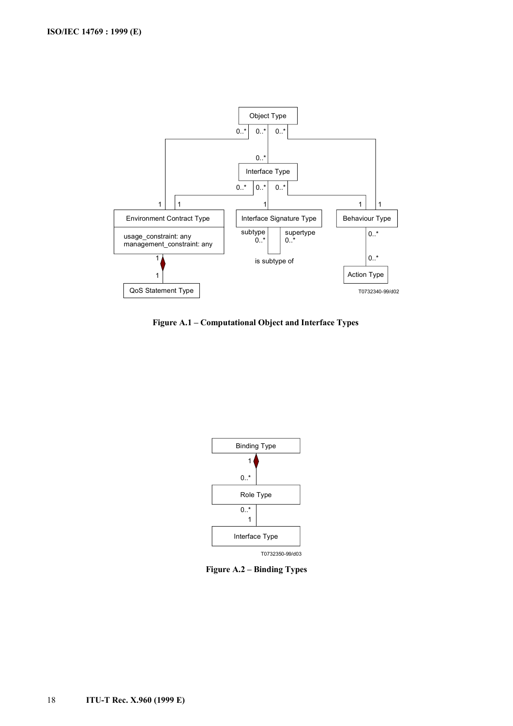

Figure A.1 - Computational Object and Interface Types



**Figure A.2 – Binding Types**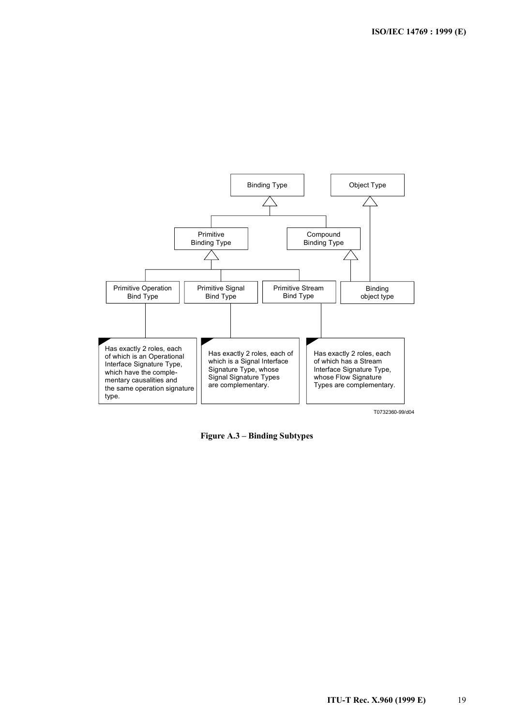

**Figure A.3 - Binding Subtypes**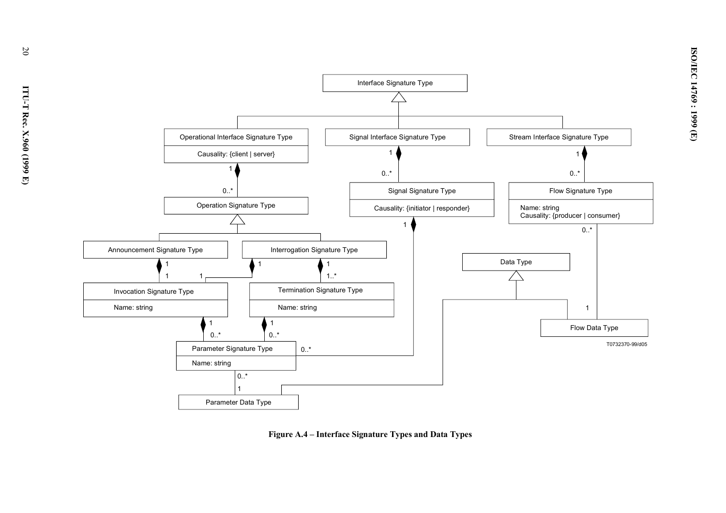20



Figure A.4 – Interface Signature Types and Data Types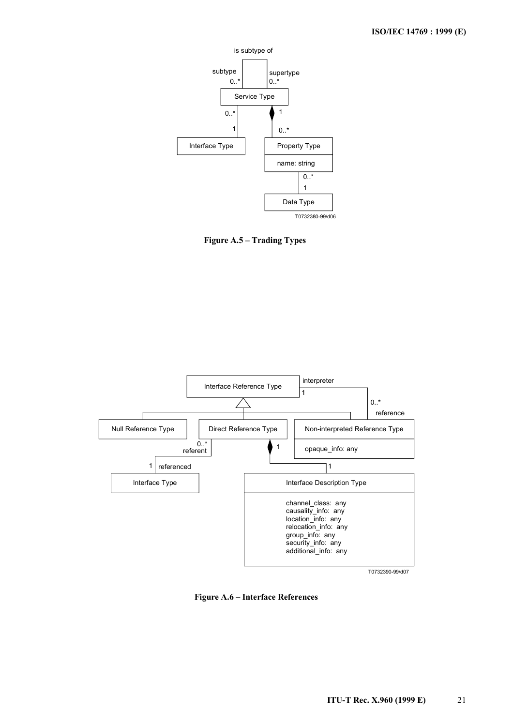





T0732390-99/d07

**Figure A.6 - Interface References**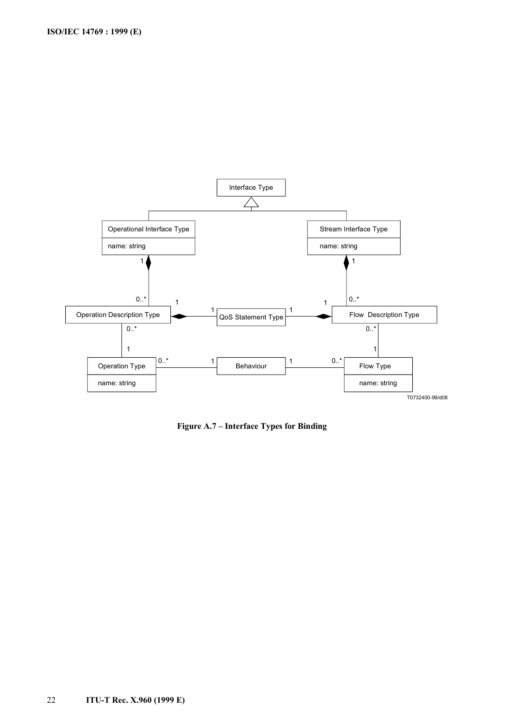

Figure A.7 – Interface Types for Binding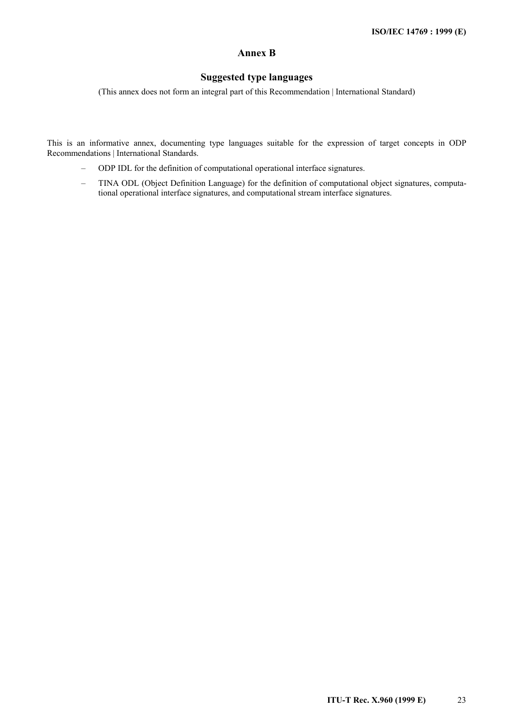# **Annex B**

# **Suggested type languages**

(This annex does not form an integral part of this Recommendation | International Standard)

This is an informative annex, documenting type languages suitable for the expression of target concepts in ODP Recommendations | International Standards.

- ODP IDL for the definition of computational operational interface signatures.
- TINA ODL (Object Definition Language) for the definition of computational object signatures, computational operational interface signatures, and computational stream interface signatures.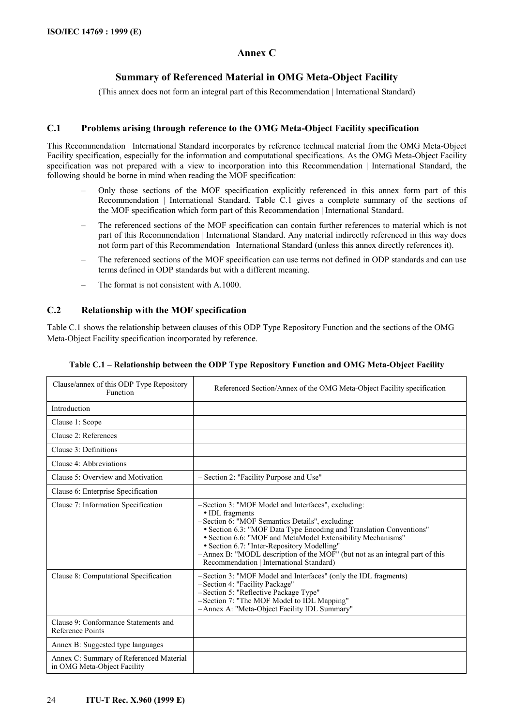# **Annex C**

# **Summary of Referenced Material in OMG Meta-Object Facility**

(This annex does not form an integral part of this Recommendation | International Standard)

# **C.1 Problems arising through reference to the OMG Meta-Object Facility specification**

This Recommendation | International Standard incorporates by reference technical material from the OMG Meta-Object Facility specification, especially for the information and computational specifications. As the OMG Meta-Object Facility specification was not prepared with a view to incorporation into this Recommendation | International Standard, the following should be borne in mind when reading the MOF specification:

- Only those sections of the MOF specification explicitly referenced in this annex form part of this Recommendation | International Standard. Table C.1 gives a complete summary of the sections of the MOF specification which form part of this Recommendation | International Standard.
- The referenced sections of the MOF specification can contain further references to material which is not part of this Recommendation | International Standard. Any material indirectly referenced in this way does not form part of this Recommendation | International Standard (unless this annex directly references it).
- The referenced sections of the MOF specification can use terms not defined in ODP standards and can use terms defined in ODP standards but with a different meaning.
- The format is not consistent with A.1000.

# **C.2 Relationship with the MOF specification**

Table C.1 shows the relationship between clauses of this ODP Type Repository Function and the sections of the OMG Meta-Object Facility specification incorporated by reference.

| Clause/annex of this ODP Type Repository<br>Function                   | Referenced Section/Annex of the OMG Meta-Object Facility specification                                                                                                                                                                                                                                                                                                                                                                    |
|------------------------------------------------------------------------|-------------------------------------------------------------------------------------------------------------------------------------------------------------------------------------------------------------------------------------------------------------------------------------------------------------------------------------------------------------------------------------------------------------------------------------------|
| Introduction                                                           |                                                                                                                                                                                                                                                                                                                                                                                                                                           |
| Clause 1: Scope                                                        |                                                                                                                                                                                                                                                                                                                                                                                                                                           |
| Clause 2: References                                                   |                                                                                                                                                                                                                                                                                                                                                                                                                                           |
| Clause 3: Definitions                                                  |                                                                                                                                                                                                                                                                                                                                                                                                                                           |
| Clause 4: Abbreviations                                                |                                                                                                                                                                                                                                                                                                                                                                                                                                           |
| Clause 5: Overview and Motivation                                      | - Section 2: "Facility Purpose and Use"                                                                                                                                                                                                                                                                                                                                                                                                   |
| Clause 6: Enterprise Specification                                     |                                                                                                                                                                                                                                                                                                                                                                                                                                           |
| Clause 7: Information Specification                                    | -Section 3: "MOF Model and Interfaces", excluding:<br>• IDL fragments<br>-Section 6: "MOF Semantics Details", excluding:<br>• Section 6.3: "MOF Data Type Encoding and Translation Conventions"<br>• Section 6.6: "MOF and MetaModel Extensibility Mechanisms"<br>• Section 6.7: "Inter-Repository Modelling"<br>-Annex B: "MODL description of the MOF" (but not as an integral part of this<br>Recommendation   International Standard) |
| Clause 8: Computational Specification                                  | -Section 3: "MOF Model and Interfaces" (only the IDL fragments)<br>-Section 4: "Facility Package"<br>-Section 5: "Reflective Package Type"<br>-Section 7: "The MOF Model to IDL Mapping"<br>-Annex A: "Meta-Object Facility IDL Summary"                                                                                                                                                                                                  |
| Clause 9: Conformance Statements and<br><b>Reference Points</b>        |                                                                                                                                                                                                                                                                                                                                                                                                                                           |
| Annex B: Suggested type languages                                      |                                                                                                                                                                                                                                                                                                                                                                                                                                           |
| Annex C: Summary of Referenced Material<br>in OMG Meta-Object Facility |                                                                                                                                                                                                                                                                                                                                                                                                                                           |

#### Table C.1 – Relationship between the ODP Type Repository Function and OMG Meta-Object Facility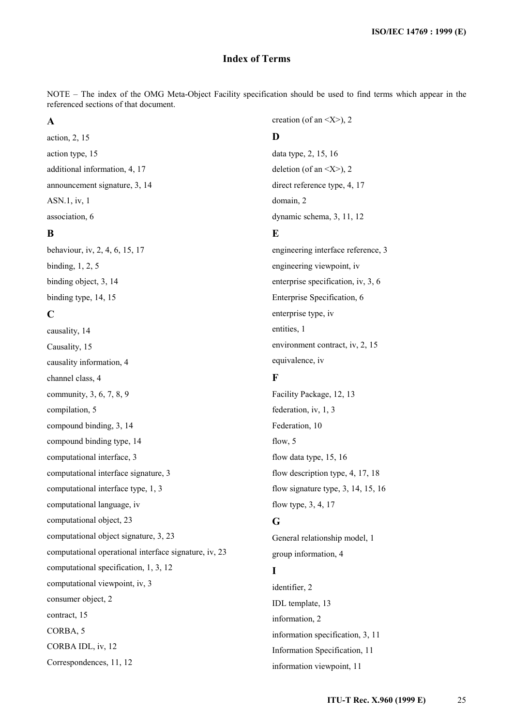# **Index of Terms**

NOTE – The index of the OMG Meta-Object Facility specification should be used to find terms which appear in the referenced sections of that document.

# **A**

action, 2, 15 action type, 15 additional information, 4, 17 announcement signature, 3, 14 ASN.1, iv, 1 association, 6

#### **B**

behaviour, iv, 2, 4, 6, 15, 17 binding, 1, 2, 5 binding object, 3, 14 binding type, 14, 15

# **C**

causality, 14 Causality, 15 causality information, 4 channel class, 4 community, 3, 6, 7, 8, 9 compilation, 5 compound binding, 3, 14 compound binding type, 14 computational interface, 3 computational interface signature, 3 computational interface type, 1, 3 computational language, iv computational object, 23 computational object signature, 3, 23 computational operational interface signature, iv, 23 computational specification, 1, 3, 12 computational viewpoint, iv, 3 consumer object, 2 contract, 15 CORBA, 5 CORBA IDL, iv, 12 Correspondences, 11, 12

creation (of an  $\langle X \rangle$ ), 2

# **D**

data type, 2, 15, 16 deletion (of an  $\langle X \rangle$ ), 2 direct reference type, 4, 17 domain, 2 dynamic schema, 3, 11, 12

# **E**

engineering interface reference, 3 engineering viewpoint, iv enterprise specification, iv, 3, 6 Enterprise Specification, 6 enterprise type, iv entities, 1 environment contract, iv, 2, 15 equivalence, iv

# **F**

Facility Package, 12, 13 federation, iv, 1, 3 Federation, 10 flow, 5 flow data type, 15, 16 flow description type, 4, 17, 18 flow signature type, 3, 14, 15, 16 flow type, 3, 4, 17

# **G**

General relationship model, 1 group information, 4 **I** 

identifier, 2 IDL template, 13 information, 2 information specification, 3, 11 Information Specification, 11 information viewpoint, 11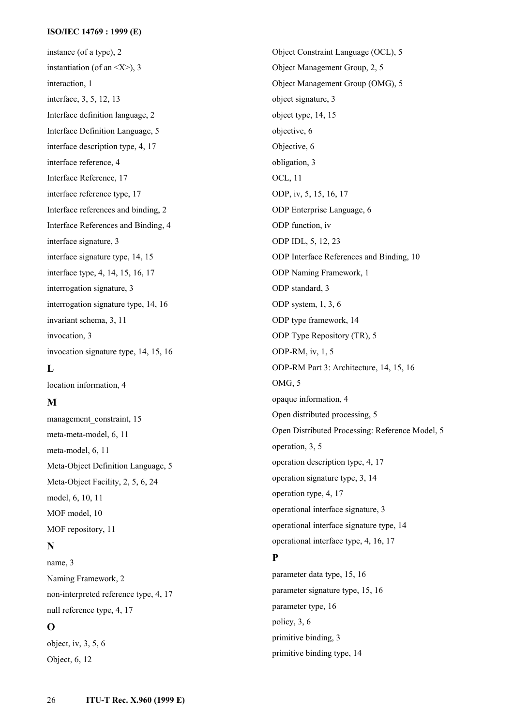#### **ISO/IEC 14769 : 1999 (E)**

instance (of a type), 2 instantiation (of an  $\langle X \rangle$ ), 3 interaction, 1 interface, 3, 5, 12, 13 Interface definition language, 2 Interface Definition Language, 5 interface description type, 4, 17 interface reference, 4 Interface Reference, 17 interface reference type, 17 Interface references and binding, 2 Interface References and Binding, 4 interface signature, 3 interface signature type, 14, 15 interface type, 4, 14, 15, 16, 17 interrogation signature, 3 interrogation signature type, 14, 16 invariant schema, 3, 11 invocation, 3 invocation signature type, 14, 15, 16 **L** 

location information, 4

# **M**

management constraint, 15 meta-meta-model, 6, 11 meta-model, 6, 11 Meta-Object Definition Language, 5 Meta-Object Facility, 2, 5, 6, 24 model, 6, 10, 11 MOF model, 10 MOF repository, 11

# **N**

name, 3 Naming Framework, 2 non-interpreted reference type, 4, 17 null reference type, 4, 17

# **O**

object, iv, 3, 5, 6 Object, 6, 12

Object Constraint Language (OCL), 5 Object Management Group, 2, 5 Object Management Group (OMG), 5 object signature, 3 object type, 14, 15 objective, 6 Objective, 6 obligation, 3 OCL, 11 ODP, iv, 5, 15, 16, 17 ODP Enterprise Language, 6 ODP function, iv ODP IDL, 5, 12, 23 ODP Interface References and Binding, 10 ODP Naming Framework, 1 ODP standard, 3 ODP system, 1, 3, 6 ODP type framework, 14 ODP Type Repository (TR), 5 ODP-RM, iv, 1, 5 ODP-RM Part 3: Architecture, 14, 15, 16 OMG, 5 opaque information, 4 Open distributed processing, 5 Open Distributed Processing: Reference Model, 5 operation, 3, 5 operation description type, 4, 17 operation signature type, 3, 14 operation type, 4, 17 operational interface signature, 3 operational interface signature type, 14 operational interface type, 4, 16, 17

# **P**

parameter data type, 15, 16 parameter signature type, 15, 16 parameter type, 16 policy, 3, 6 primitive binding, 3 primitive binding type, 14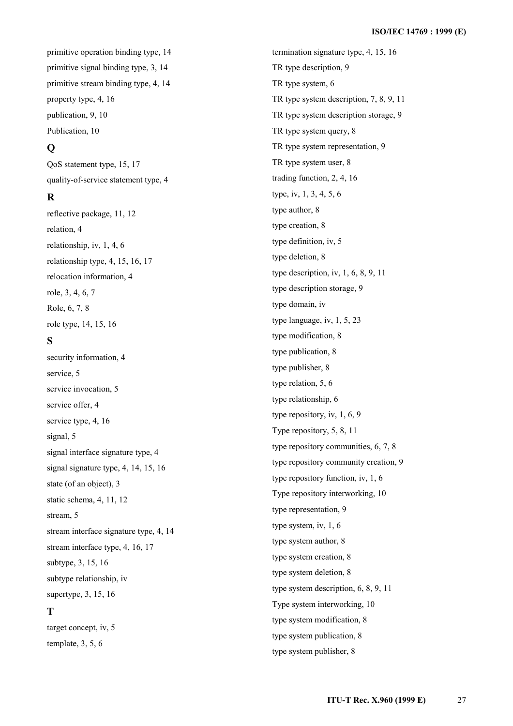primitive operation binding type, 14 primitive signal binding type, 3, 14 primitive stream binding type, 4, 14 property type, 4, 16 publication, 9, 10 Publication, 10

# **Q**

QoS statement type, 15, 17 quality-of-service statement type, 4

# **R**

reflective package, 11, 12 relation, 4 relationship, iv, 1, 4, 6 relationship type, 4, 15, 16, 17 relocation information, 4 role, 3, 4, 6, 7 Role, 6, 7, 8 role type, 14, 15, 16

# **S**

security information, 4 service, 5 service invocation, 5 service offer, 4 service type, 4, 16 signal, 5 signal interface signature type, 4 signal signature type, 4, 14, 15, 16 state (of an object), 3 static schema, 4, 11, 12 stream, 5 stream interface signature type, 4, 14 stream interface type, 4, 16, 17 subtype, 3, 15, 16 subtype relationship, iv supertype, 3, 15, 16 **T**  target concept, iv, 5

template, 3, 5, 6

termination signature type, 4, 15, 16 TR type description, 9 TR type system, 6 TR type system description, 7, 8, 9, 11 TR type system description storage, 9 TR type system query, 8 TR type system representation, 9 TR type system user, 8 trading function, 2, 4, 16 type, iv, 1, 3, 4, 5, 6 type author, 8 type creation, 8 type definition, iv, 5 type deletion, 8 type description, iv, 1, 6, 8, 9, 11 type description storage, 9 type domain, iv type language, iv, 1, 5, 23 type modification, 8 type publication, 8 type publisher, 8 type relation, 5, 6 type relationship, 6 type repository, iv, 1, 6, 9 Type repository, 5, 8, 11 type repository communities, 6, 7, 8 type repository community creation, 9 type repository function, iv, 1, 6 Type repository interworking, 10 type representation, 9 type system, iv, 1, 6 type system author, 8 type system creation, 8 type system deletion, 8 type system description, 6, 8, 9, 11 Type system interworking, 10 type system modification, 8 type system publication, 8 type system publisher, 8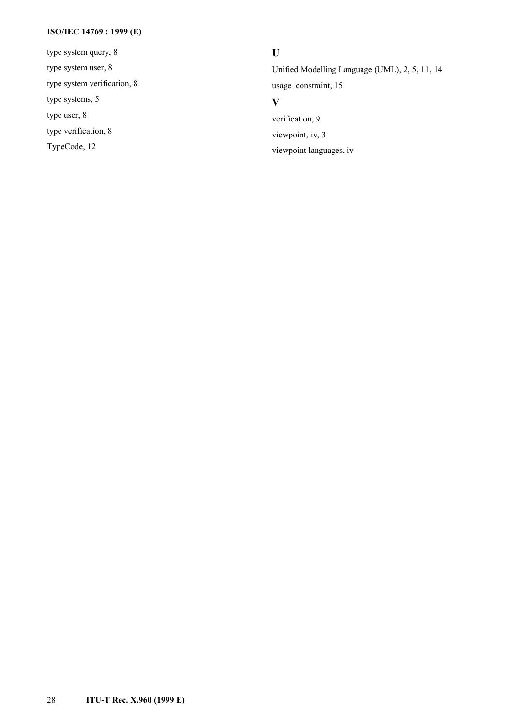# **ISO/IEC 14769 : 1999 (E)**

type system query, 8 type system user, 8 type system verification, 8 type systems, 5 type user, 8 type verification, 8 TypeCode, 12

# **U**

Unified Modelling Language (UML), 2, 5, 11, 14 usage\_constraint, 15

# **V**

verification, 9

viewpoint, iv, 3

viewpoint languages, iv